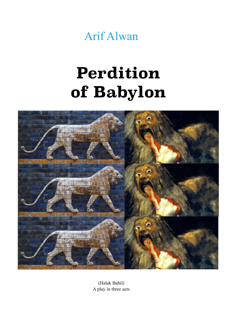

## **Perdition of Babylon**



(Halak Babil) A play in three acts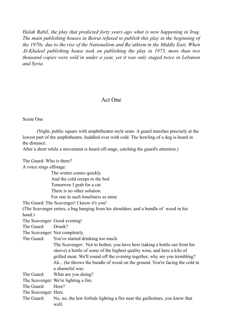*Halak Babil, the play that predicted forty years ago what is now happening in Iraq. The main publishing houses in Beirut refused to publish this play in the beginning of the 1970s, due to the rise of the Nationalism and Ba'athism in the Middle East. When Al-Khaleel publishing house took on publishing the play in 1975, more than two thousand copies were sold in under a year, yet it was only staged twice in Lebanon and Syria.* 

## Act One

Scene One

 (Night, public square with amphitheatre-style seats. A guard marches precisely at the lowest part of the amphitheatre, huddled over with cold. The howling of a dog is heard in the distance.

After a short while a movement is heard off-stage, catching the guard's attention.)

The Guard: Who is there? A voice sings offstage: The winter comes quickly And the cold creeps to the bed Tomorrow I grab for a cat There is no other solution For one in such loneliness as mine The Guard: The Scavenger! I know it's you! (The Scavenger enters, a bag hanging from his shoulders, and a bundle of wood in his hand.) The Scavenger: Good evening! The Guard: Drunk? The Scavenger: Not completely. The Guard: You've started drinking too much. The Scavenger: Not to bother, you have here (taking a bottle out from his sleeve) a bottle of some of the highest quality wine, and here a kilo of grilled meat. We'll round off the evening together, why are you trembling? Ah... (he throws the bundle of wood on the ground. You're facing the cold in a shameful way. The Guard: What are you doing? The Scavenger: We're lighting a fire. The Guard: Here? The Scavenger: Here. The Guard: No, no, the law forbids lighting a fire near the guillotines, you know that well.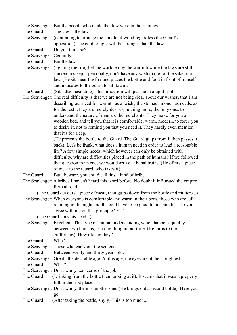The Scavenger: But the people who made that law were in their homes.

The Guard: The law is the law.

The Scavenger: (continuing to arrange the bundle of wood regardless the Guard's opposition) The cold tonight will be stronger than the law.

The Guard: Do you think so?

The Scavenger: Certainly.

The Guard: But the law...

The Scavenger: (lighting the fire) Let the world enjoy the warmth while the laws are still sunken in sleep. I personally, don't have any wish to die for the sake of a law. (He sits near the fire and places the bottle and food in front of himself and indicates to the guard to sit down).

The Guard: (Sits after hesitating) This infraction will put me in a tight spot.

The Scavenger: The real difficulty is that we are not being clear about our wishes, that I am describing our need for warmth as a 'wish'; the stomach alone has needs, as for the rest... they are merely desires, nothing more, the only ones to understand the nature of man are the merchants. They make for you a wooden bed, and tell you that it is comfortable, warm, modern, to force you to desire it, not to remind you that you need it. They hardly even mention that it's for sleep.

 (He presents the bottle to the Guard. The Guard gulps from it then passes it back). Let's be frank, what does a human need in order to lead a reasonable life? A few simple needs, which however can only be obtained with difficulty, why are difficulties placed in the path of humans? If we followed that question to its end, we would arrive at banal truths. (He offers a piece of meat to the Guard, who takes it).

The Guard: But.. beware, you could call this a kind of bribe.

The Scavenger: A bribe? I haven't heard this word before. No doubt it infiltrated the empire from abroad.

(The Guard devours a piece of meat, then gulps down from the bottle and mutters...) The Scavenger: When everyone is comfortable and warm in their beds, those who are left roaming in the night and the cold have to be good to one another. Do you agree with me on this principle? Eh?

- (The Guard nods his head...)
- The Scavenger: Excellent. This type of mutual understanding which happens quickly between two humans, is a rare thing in our time. (He turns to the guillotines). How old are they?

The Guard: Who?

- The Scavenger: Those who carry out the sentence.
- The Guard: Between twenty and thirty years old.
- The Scavenger: Great...the desirable age. At this age, the eyes are at their brightest.

The Guard: What?

- The Scavenger: Don't worry...concerns of the job.
- The Guard: (Drinking from the bottle then looking at it). It seems that it wasn't properly full in the first place.
- The Scavenger: Don't worry, there is another one. (He brings out a second bottle). Here you go.
- The Guard: (After taking the bottle, shyly) This is too much...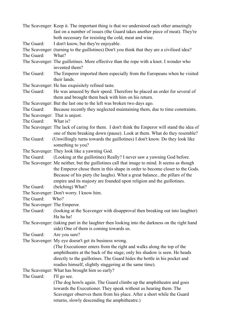|                                | The Scavenger: Keep it. The important thing is that we understood each other amazingly                   |
|--------------------------------|----------------------------------------------------------------------------------------------------------|
|                                | fast on a number of issues (the Guard takes another piece of meat). They're                              |
|                                | both necessary for resisting the cold, meat and wine.                                                    |
| The Guard:                     | I don't know, but they're enjoyable.                                                                     |
|                                | The Scavenger: (turning to the guillotines) Don't you think that they are a civilised idea?              |
| The Guard:                     | What?                                                                                                    |
|                                | The Scavenger: The guillotines. More effective than the rope with a knot. I wonder who<br>invented them? |
| The Guard:                     | The Emperor imported them especially from the Europeans when he visited<br>their lands.                  |
|                                | The Scavenger: He has exquisitely refined taste.                                                         |
| The Guard:                     | He was amazed by their speed. Therefore he placed an order for several of                                |
|                                | them and brought them back with him on his return.                                                       |
|                                | The Scavenger: But the last one to the left was broken two days ago.                                     |
| The Guard:                     | Because recently they neglected maintaining them, due to time constraints.                               |
| The Scavenger: That is unjust. |                                                                                                          |
| The Guard:                     | What is?                                                                                                 |
|                                | The Scavenger: The lack of caring for them. I don't think the Emperor will stand the idea of             |
|                                | one of them breaking down (pause). Look at them. What do they resemble?                                  |
| The Guard:                     | (Unwillingly turns towards the guillotines) I don't know. Do they look like                              |
|                                | something to you?                                                                                        |
|                                | The Scavenger: They look like a yawning God.                                                             |
| The Guard:                     |                                                                                                          |
|                                | (Looking at the guillotines) Really? I never saw a yawning God before.                                   |
|                                | The Scavenger: Me neither, but the guillotines call that image to mind. It seems as though               |
|                                | the Emperor chose them in this shape in order to become closer to the Gods.                              |
|                                | Because of his piety (he laughs). What a great balancethe pillars of the                                 |
|                                | empire and its majesty are founded upon religion and the guillotines.                                    |
| The Guard:                     | (belching) What?                                                                                         |
|                                | The Scavenger: Don't worry. I know him.                                                                  |
| The Guard:                     | Who?                                                                                                     |
| The Scavenger: The Emperor.    |                                                                                                          |
| The Guard:                     | (looking at the Scavenger with disapproval then breaking out into laughter)<br>Ha ha ha!                 |
|                                | The Scavenger: (taking part in the laughter then looking into the darkness on the right hand             |
|                                | side) One of them is coming towards us.                                                                  |
| The Guard:                     | Are you sure?                                                                                            |
|                                | The Scavenger: My eye doesn't get its business wrong.                                                    |
|                                | (The Executioner enters from the right and walks along the top of the                                    |
|                                | amphitheatre at the back of the stage; only his shadow is seen. He heads                                 |
|                                | directly to the guillotines. The Guard hides the bottle in his pocket and                                |
|                                | readies himself, slightly staggering at the same time).                                                  |
|                                | The Scavenger: What has brought him so early?                                                            |
| The Guard:                     | I'll go see.                                                                                             |
|                                | (The dog howls again. The Guard climbs up the amphitheatre and goes                                      |
|                                | towards the Executioner. They speak without us hearing them. The                                         |
|                                | Scavenger observes them from his place. After a short while the Guard                                    |
|                                | returns, slowly descending the amphitheatre.)                                                            |
|                                |                                                                                                          |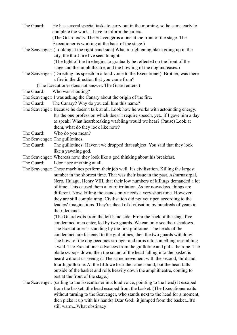The Guard: He has several special tasks to carry out in the morning, so he came early to complete the work. I have to inform the jailers.

 (The Guard exits. The Scavenger is alone at the front of the stage. The Executioner is working at the back of the stage.)

The Scavenger: (Looking at the right hand side) What a frightening blaze going up in the city, the third fire I've seen tonight.

 (The light of the fire begins to gradually be reflected on the front of the stage and the amphitheatre, and the howling of the dog increases.)

The Scavenger: (Directing his speech in a loud voice to the Executioner). Brother, was there a fire in the direction that you came from?

(The Executioner does not answer. The Guard enters.)

The Guard: Who was shouting?

The Scavenger: I was asking the Canary about the origin of the fire.

- The Guard: The Canary? Why do you call him this name?
- The Scavenger: Because he doesn't talk at all. Look how he works with astounding energy. It's the one profession which doesn't require speech, yet...if I gave him a day to speak! What heartbreaking warbling would we hear? (Pause) Look at them, what do they look like now?
- The Guard: Who do you mean?
- The Scavenger: The guillotines.
- The Guard: The guillotines! Haven't we dropped that subject. You said that they look like a yawning god.
- The Scavenger: Whereas now, they look like a god thinking about his breakfast.
- The Guard: I don't see anything at all.

The Scavenger: These machines perform their job well. It's civilisation. Killing the largest number in the shortest time. That was their issue in the past, Ashurnasirpal, Nero, Hulagu, Henry VIII, that their low numbers of killings demanded a lot of time. This caused them a lot of irritation. As for nowadays, things are different. Now, killing thousands only needs a very short time. However, they are still complaining. Civilisation did not yet ripen according to the leaders' imaginations. They're ahead of civilisation by hundreds of years in their demands.

> (The Guard exits from the left hand side. From the back of the stage five condemned men enter, led by two guards. We can only see their shadows. The Executioner is standing by the first guillotine. The heads of the condemned are fastened to the guillotines, then the two guards withdraw. The howl of the dog becomes stronger and turns into something resembling a wail. The Executioner advances from the guillotine and pulls the rope. The blade swoops down, then the sound of the head falling into the basket is heard without us seeing it. The same movement with the second, third and fourth guillotine. At the fifth we hear the same sound, but the head falls outside of the basket and rolls heavily down the amphitheatre, coming to rest at the front of the stage.)

The Scavenger: (calling to the Executioner in a loud voice, pointing to the head) It escaped from the basket...the head escaped from the basket. (The Executioner exits without turning to the Scavenger, who stands next to the head for a moment, then picks it up with his hands) Dear God...it jumped from the basket...It's still warm...What obstinacy!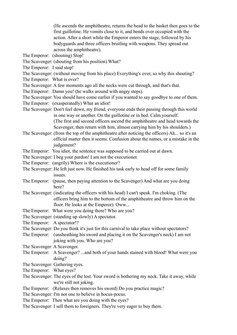(He ascends the amphitheatre, returns the head to the basket then goes to the first guillotine. He vomits close to it, and bends over occupied with the action. After a short while the Emperor enters the stage, followed by his bodyguards and three officers bristling with weapons. They spread out across the amphitheatre).

- The Emperor: (shouting) Stop!
- The Scavenger: (shouting from his position) What?
- The Emperor: I said stop!

## The Scavenger: (without moving from his place) Everything's over, so why this shouting?

- The Emperor: What is over?
- The Scavenger: A few moments ago all the necks were cut through, and that's that.
- The Emperor: Damn you! (he walks around with angry steps).
- The Scavenger: You should have come earlier if you wanted to say goodbye to one of them.
- The Emperor: (exasperatedly) What an idiot!
- The Scavenger: Don't feel down, my friend, everyone ends their passing through this world in one way or another. On the guillotine or in bed. Calm yourself.

 (The first and second officers ascend the amphitheatre and head towards the Scavenger, then return with him, almost carrying him by his shoulders.)

- The Scavenger: (from the top of the amphitheatre after noticing the officers) Ah... so it's an official matter then it seems. Confusion about the names, or a mistake in the judgement?
- The Emperor: You idiot, the sentence was supposed to be carried out at dawn.
- The Scavenger: I beg your pardon! I am not the executioner.
- The Emperor: (angrily) Where is the executioner?
- The Scavenger: He left just now. He finished his task early to head off for some family issues.
- The Emperor: (pause, then paying attention to the Scavenger) And what are you doing here?
- The Scavenger: (indicating the officers with his head) I can't speak. I'm choking. (The officers bring him to the bottom of the amphitheatre and throw him on the floor. He looks at the Emperor). Oww...
- The Emperor: What were you doing there? Who are you?
- The Scavenger: (standing up slowly) A spectator.
- The Emperor: A spectator!?
- The Scavenger: Do you think it's just for this carnival to take place without spectators?
- The Emperor: (unsheathing his sword and placing it on the Scavenger's neck) I am not joking with you. Who are you?
- The Scavenger: A Scavenger.
- The Emperor: A Scavenger? ...and both of your hands stained with blood! What were you doing?
- The Scavenger: Gathering eyes.
- The Emperor: What eyes?
- The Scavenger: The eyes of the lost. Your sword is bothering my neck. Take it away, while we're still not joking.
- The Emperor: (Relaxes then removes his sword) Do you practice magic?
- The Scavenger: I'm not one to believe in hocus-pocus.
- The Emperor: Then what are you doing with the eyes?
- The Scavenger: I sell them to foreigners. They're very eager to buy them.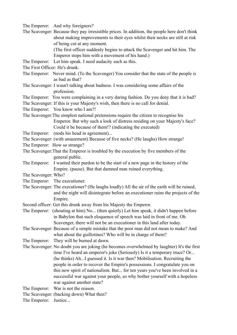The Emperor: And why foreigners?

The Scavenger: Because they pay irresistible prices. In addition, the people here don't think about making improvements to their eyes whilst their necks are still at risk of being cut at any moment.

> (The first officer suddenly begins to attack the Scavenger and hit him. The Emperor stops him with a movement of his hand.)

- The Emperor: Let him speak. I need audacity such as this.
- The First Officer: He's drunk.
- The Emperor: Never mind. (To the Scavenger) You consider that the state of the people is as bad as that?
- The Scavenger: I wasn't talking about badness. I was considering some affairs of the profession.

The Emperor: You were complaining in a very daring fashion. Do you deny that it is bad?

The Scavenger: If this is your Majesty's wish, then there is no call for denial.

The Emperor: You know who I am?!

- The Scavenger:The simplest national pretensions require the citizen to recognise his Emperor. But why such a look of distress residing on your Majesty's face? Could it be because of them!? (indicating the executed)
- The Emperor: (nods his head in agreement)...
- The Scavenger: (with amazement) Because of five necks? (He laughs) How strange!
- The Emperor: How so strange?
- The Scavenger:That the Emperor is troubled by the execution by five members of the general public.
- The Emperor: I wanted their pardon to be the start of a new page in the history of the Empire. (pause). But that damned man ruined everything.
- The Scavenger: Who?
- The Emperor: The executioner.
- The Scavenger: The executioner? (He laughs loudly) All the air of the earth will be ruined, and the night will disintegrate before an executioner ruins the projects of the Empire.
- Second officer: Get this drunk away from his Majesty the Emperor.
- The Emperor: (shouting at him) No... (then quietly) Let him speak, it didn't happen before in Babylon that such eloquence of speech was laid in front of me. Oh Scavenger, there will not be an executioner in this land after today.
- The Scavenger: Because of a simple mistake that the poor man did not mean to make? And what about the guillotines? Who will be in charge of them?
- The Emperor: They will be burned at dawn.
- The Scavenger: No doubt you are joking (he becomes overwhelmed by laughter) It's the first time I've heard an emperor's joke (Seriously) Is it a temporary truce? Or... (he thinks) Ah...I guessed it. Is it war then? Mobilisation. Recruiting the people in order to recover the Empire's possessions. I congratulate you on this new spirit of nationalism. But... for ten years you've been involved in a successful war against your people, so why bother yourself with a hopeless war against another state?

The Emperor: War is not the reason.

The Scavenger: (backing down) What then?

The Emperor: Justice...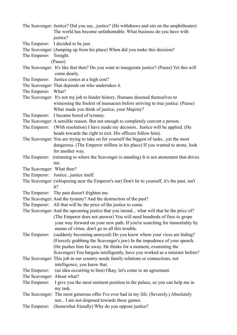|                            | The Scavenger: Justice? Did you say justice? (He withdraws and sits on the amphitheatre)                                                                                                                                                                                                         |
|----------------------------|--------------------------------------------------------------------------------------------------------------------------------------------------------------------------------------------------------------------------------------------------------------------------------------------------|
|                            | The world has become unfathomable. What business do you have with                                                                                                                                                                                                                                |
|                            | justice?                                                                                                                                                                                                                                                                                         |
|                            | The Emperor: I decided to be just.                                                                                                                                                                                                                                                               |
|                            | The Scavenger: (Jumping up from his place) When did you make this decision?                                                                                                                                                                                                                      |
| The Emperor:               | Tonight.                                                                                                                                                                                                                                                                                         |
|                            | (Pause)                                                                                                                                                                                                                                                                                          |
|                            | The Scavenger: It's like that then? Do you want to inaugurate justice? (Pause) Yet this will<br>come dearly.                                                                                                                                                                                     |
|                            | The Emperor: Justice comes at a high cost?                                                                                                                                                                                                                                                       |
|                            | The Scavenger: That depends on who undertakes it.                                                                                                                                                                                                                                                |
| The Emperor: What?         |                                                                                                                                                                                                                                                                                                  |
|                            | The Scavenger: It's not my job to hinder history. Humans doomed themselves to                                                                                                                                                                                                                    |
|                            | witnessing the foulest of massacres before arriving to true justice. (Pause)<br>What made you think of justice, your Majesty?                                                                                                                                                                    |
|                            | The Emperor: I became bored of tyranny.                                                                                                                                                                                                                                                          |
|                            | The Scavenger: A sensible reason. But not enough to completely convert a person.                                                                                                                                                                                                                 |
| The Emperor:               | (With resolution) I have made my decision Justice will be applied. (He<br>heads towards the right to exit. His officers follow him).                                                                                                                                                             |
|                            | The Scavenger: You are trying to take on for yourself the biggest of tasksyet the most                                                                                                                                                                                                           |
|                            | dangerous. (The Emperor stiffens in his place) If you wanted to atone, look                                                                                                                                                                                                                      |
|                            | for another way.                                                                                                                                                                                                                                                                                 |
|                            | The Emperor: (returning to where the Scavenger is standing) It is not atonement that drives                                                                                                                                                                                                      |
|                            | me.                                                                                                                                                                                                                                                                                              |
| The Scavenger: What then?  |                                                                                                                                                                                                                                                                                                  |
|                            | The Emperor: Justicejustice itself.                                                                                                                                                                                                                                                              |
|                            | The Scavenger: (whispering near the Emperor's ear) Don't lie to yourself, it's the past, isn't                                                                                                                                                                                                   |
|                            | it?                                                                                                                                                                                                                                                                                              |
|                            | The Emperor: The past doesn't frighten me.                                                                                                                                                                                                                                                       |
|                            | The Scavenger: And the tyranny? And the destruction of the past?                                                                                                                                                                                                                                 |
|                            | The Emperor: All that will be the price of the justice to come.                                                                                                                                                                                                                                  |
|                            | The Scavenger: And the upcoming justice that you intend what will that be the price of?<br>(The Emperor does not answer) You will need hundreds of fires to grope<br>your way forward on your new path. If you're searching for immortality by<br>means of virtue, don't go to all this trouble. |
| The Emperor:               | (suddenly becoming annoyed) Do you know where your vices are hiding?                                                                                                                                                                                                                             |
|                            | (Fiercely grabbing the Scavenger's jaw) In the impudence of your speech.                                                                                                                                                                                                                         |
|                            | (He pushes him far away. He thinks for a moment, examining the                                                                                                                                                                                                                                   |
|                            | Scavenger) You bargain intelligently, have you worked as a minister before?                                                                                                                                                                                                                      |
|                            | The Scavenger: This job in our country needs family relations or connections, not<br>intelligence, you know that.                                                                                                                                                                                |
| The Emperor:               | (an idea occurring to him) Okay, let's come to an agreement.                                                                                                                                                                                                                                     |
| The Scavenger: About what? |                                                                                                                                                                                                                                                                                                  |
| The Emperor:               | I give you the most eminent position in the palace, so you can help me in                                                                                                                                                                                                                        |
|                            | my task.                                                                                                                                                                                                                                                                                         |
|                            | The Scavenger: The most generous offer I've ever had in my life. (Severely.) Absolutely                                                                                                                                                                                                          |
|                            | not I am not disposed towards these games.                                                                                                                                                                                                                                                       |
| The Emperor:               | (Somewhat friendly) Why do you oppose justice?                                                                                                                                                                                                                                                   |